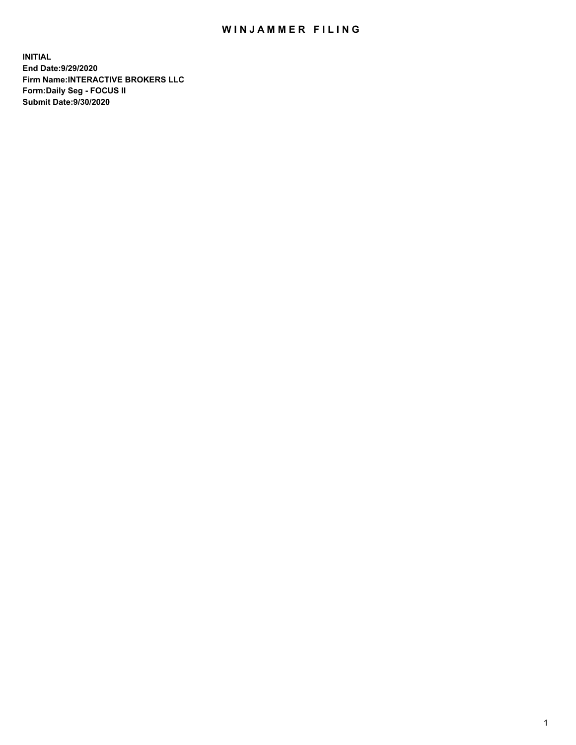## WIN JAMMER FILING

**INITIAL End Date:9/29/2020 Firm Name:INTERACTIVE BROKERS LLC Form:Daily Seg - FOCUS II Submit Date:9/30/2020**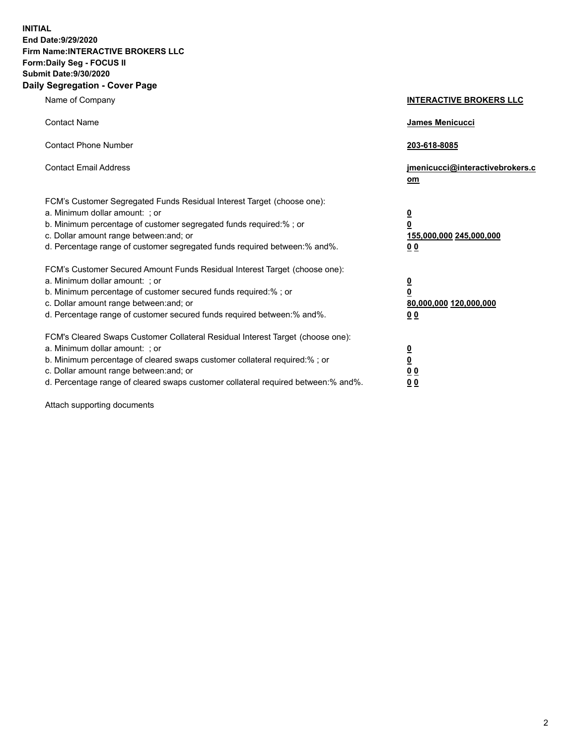**INITIAL End Date:9/29/2020 Firm Name:INTERACTIVE BROKERS LLC Form:Daily Seg - FOCUS II Submit Date:9/30/2020 Daily Segregation - Cover Page**

| Name of Company                                                                                                                                                                                                                                                                                                                | <b>INTERACTIVE BROKERS LLC</b>                                                                  |
|--------------------------------------------------------------------------------------------------------------------------------------------------------------------------------------------------------------------------------------------------------------------------------------------------------------------------------|-------------------------------------------------------------------------------------------------|
| <b>Contact Name</b>                                                                                                                                                                                                                                                                                                            | <b>James Menicucci</b>                                                                          |
| <b>Contact Phone Number</b>                                                                                                                                                                                                                                                                                                    | 203-618-8085                                                                                    |
| <b>Contact Email Address</b>                                                                                                                                                                                                                                                                                                   | jmenicucci@interactivebrokers.c<br>om                                                           |
| FCM's Customer Segregated Funds Residual Interest Target (choose one):<br>a. Minimum dollar amount: ; or<br>b. Minimum percentage of customer segregated funds required:%; or<br>c. Dollar amount range between: and; or<br>d. Percentage range of customer segregated funds required between:% and%.                          | $\overline{\mathbf{0}}$<br>$\overline{\mathbf{0}}$<br>155,000,000 245,000,000<br>0 <sub>0</sub> |
| FCM's Customer Secured Amount Funds Residual Interest Target (choose one):<br>a. Minimum dollar amount: ; or<br>b. Minimum percentage of customer secured funds required:%; or<br>c. Dollar amount range between: and; or<br>d. Percentage range of customer secured funds required between:% and%.                            | <u>0</u><br>$\overline{\mathbf{0}}$<br>80,000,000 120,000,000<br>0 <sub>0</sub>                 |
| FCM's Cleared Swaps Customer Collateral Residual Interest Target (choose one):<br>a. Minimum dollar amount: ; or<br>b. Minimum percentage of cleared swaps customer collateral required:% ; or<br>c. Dollar amount range between: and; or<br>d. Percentage range of cleared swaps customer collateral required between:% and%. | $\overline{\mathbf{0}}$<br>$\underline{\mathbf{0}}$<br>0 <sub>0</sub><br>00                     |

Attach supporting documents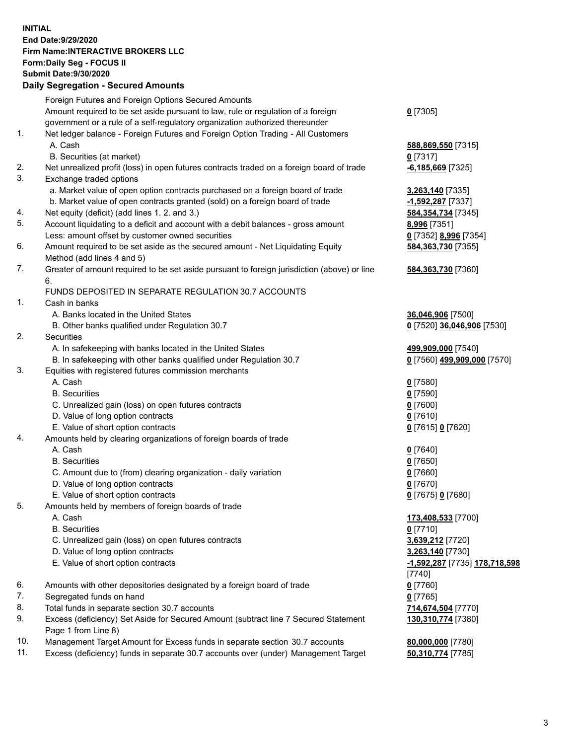**INITIAL End Date:9/29/2020 Firm Name:INTERACTIVE BROKERS LLC Form:Daily Seg - FOCUS II Submit Date:9/30/2020 Daily Segregation - Secured Amounts**

|     | Daily Segregation - Secureu Amounts                                                         |                               |
|-----|---------------------------------------------------------------------------------------------|-------------------------------|
|     | Foreign Futures and Foreign Options Secured Amounts                                         |                               |
|     | Amount required to be set aside pursuant to law, rule or regulation of a foreign            | $0$ [7305]                    |
|     | government or a rule of a self-regulatory organization authorized thereunder                |                               |
| 1.  | Net ledger balance - Foreign Futures and Foreign Option Trading - All Customers             |                               |
|     | A. Cash                                                                                     | 588,869,550 [7315]            |
|     | B. Securities (at market)                                                                   | $0$ [7317]                    |
| 2.  | Net unrealized profit (loss) in open futures contracts traded on a foreign board of trade   | $-6,185,669$ [7325]           |
| 3.  | Exchange traded options                                                                     |                               |
|     | a. Market value of open option contracts purchased on a foreign board of trade              | 3,263,140 [7335]              |
|     | b. Market value of open contracts granted (sold) on a foreign board of trade                | -1,592,287 [7337]             |
| 4.  | Net equity (deficit) (add lines 1. 2. and 3.)                                               | 584, 354, 734 [7345]          |
| 5.  | Account liquidating to a deficit and account with a debit balances - gross amount           | 8,996 [7351]                  |
|     | Less: amount offset by customer owned securities                                            | 0 [7352] 8,996 [7354]         |
| 6.  | Amount required to be set aside as the secured amount - Net Liquidating Equity              | 584, 363, 730 [7355]          |
|     | Method (add lines 4 and 5)                                                                  |                               |
| 7.  | Greater of amount required to be set aside pursuant to foreign jurisdiction (above) or line |                               |
|     | 6.                                                                                          | 584, 363, 730 [7360]          |
|     | FUNDS DEPOSITED IN SEPARATE REGULATION 30.7 ACCOUNTS                                        |                               |
| 1.  | Cash in banks                                                                               |                               |
|     | A. Banks located in the United States                                                       |                               |
|     |                                                                                             | 36,046,906 [7500]             |
| 2.  | B. Other banks qualified under Regulation 30.7                                              | 0 [7520] 36,046,906 [7530]    |
|     | <b>Securities</b>                                                                           |                               |
|     | A. In safekeeping with banks located in the United States                                   | 499,909,000 [7540]            |
|     | B. In safekeeping with other banks qualified under Regulation 30.7                          | 0 [7560] 499,909,000 [7570]   |
| 3.  | Equities with registered futures commission merchants                                       |                               |
|     | A. Cash                                                                                     | $0$ [7580]                    |
|     | <b>B.</b> Securities                                                                        | $0$ [7590]                    |
|     | C. Unrealized gain (loss) on open futures contracts                                         | $0$ [7600]                    |
|     | D. Value of long option contracts                                                           | $0$ [7610]                    |
|     | E. Value of short option contracts                                                          | 0 [7615] 0 [7620]             |
| 4.  | Amounts held by clearing organizations of foreign boards of trade                           |                               |
|     | A. Cash                                                                                     | $0$ [7640]                    |
|     | <b>B.</b> Securities                                                                        | $0$ [7650]                    |
|     | C. Amount due to (from) clearing organization - daily variation                             | $0$ [7660]                    |
|     | D. Value of long option contracts                                                           | $0$ [7670]                    |
|     | E. Value of short option contracts                                                          | 0 [7675] 0 [7680]             |
| 5.  | Amounts held by members of foreign boards of trade                                          |                               |
|     | A. Cash                                                                                     | 173,408,533 [7700]            |
|     | <b>B.</b> Securities                                                                        | $0$ [7710]                    |
|     | C. Unrealized gain (loss) on open futures contracts                                         | 3,639,212 [7720]              |
|     | D. Value of long option contracts                                                           | 3,263,140 [7730]              |
|     | E. Value of short option contracts                                                          | -1,592,287 [7735] 178,718,598 |
|     |                                                                                             | $[7740]$                      |
| 6.  | Amounts with other depositories designated by a foreign board of trade                      | $0$ [7760]                    |
| 7.  | Segregated funds on hand                                                                    | $0$ [7765]                    |
| 8.  | Total funds in separate section 30.7 accounts                                               | 714,674,504 [7770]            |
| 9.  | Excess (deficiency) Set Aside for Secured Amount (subtract line 7 Secured Statement         | 130,310,774 [7380]            |
|     | Page 1 from Line 8)                                                                         |                               |
| 10. | Management Target Amount for Excess funds in separate section 30.7 accounts                 | 80,000,000 [7780]             |
| 11. | Excess (deficiency) funds in separate 30.7 accounts over (under) Management Target          | 50,310,774 [7785]             |
|     |                                                                                             |                               |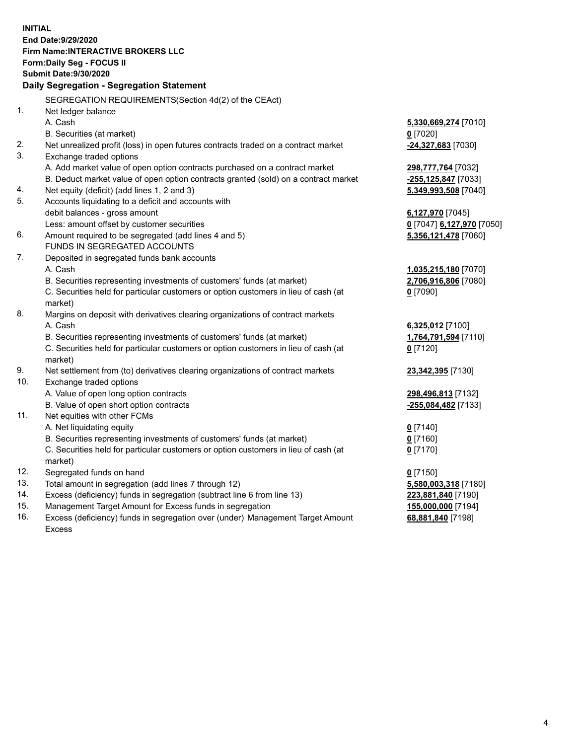**INITIAL End Date:9/29/2020 Firm Name:INTERACTIVE BROKERS LLC Form:Daily Seg - FOCUS II Submit Date:9/30/2020 Daily Segregation - Segregation Statement** SEGREGATION REQUIREMENTS(Section 4d(2) of the CEAct) 1. Net ledger balance A. Cash **5,330,669,274** [7010] B. Securities (at market) **0** [7020] 2. Net unrealized profit (loss) in open futures contracts traded on a contract market **-24,327,683** [7030] 3. Exchange traded options A. Add market value of open option contracts purchased on a contract market **298,777,764** [7032] B. Deduct market value of open option contracts granted (sold) on a contract market **-255,125,847** [7033] 4. Net equity (deficit) (add lines 1, 2 and 3) **5,349,993,508** [7040] 5. Accounts liquidating to a deficit and accounts with debit balances - gross amount **6,127,970** [7045] Less: amount offset by customer securities **0** [7047] **6,127,970** [7050] 6. Amount required to be segregated (add lines 4 and 5) **5,356,121,478** [7060] FUNDS IN SEGREGATED ACCOUNTS 7. Deposited in segregated funds bank accounts A. Cash **1,035,215,180** [7070] B. Securities representing investments of customers' funds (at market) **2,706,916,806** [7080] C. Securities held for particular customers or option customers in lieu of cash (at market) **0** [7090] 8. Margins on deposit with derivatives clearing organizations of contract markets A. Cash **6,325,012** [7100] B. Securities representing investments of customers' funds (at market) **1,764,791,594** [7110] C. Securities held for particular customers or option customers in lieu of cash (at market) **0** [7120] 9. Net settlement from (to) derivatives clearing organizations of contract markets **23,342,395** [7130] 10. Exchange traded options A. Value of open long option contracts **298,496,813** [7132] B. Value of open short option contracts **-255,084,482** [7133] 11. Net equities with other FCMs A. Net liquidating equity **0** [7140] B. Securities representing investments of customers' funds (at market) **0** [7160] C. Securities held for particular customers or option customers in lieu of cash (at market) **0** [7170] 12. Segregated funds on hand **0** [7150] 13. Total amount in segregation (add lines 7 through 12) **5,580,003,318** [7180] 14. Excess (deficiency) funds in segregation (subtract line 6 from line 13) **223,881,840** [7190] 15. Management Target Amount for Excess funds in segregation **155,000,000** [7194]

16. Excess (deficiency) funds in segregation over (under) Management Target Amount Excess

**68,881,840** [7198]